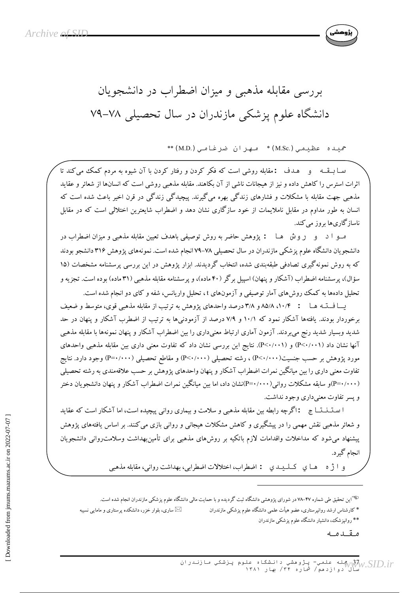

حمیده عظیمی(M.Sc.)\* مهران ضرغامی(M.D.)\*\*

سا به قــه و هــدف :مقابله روشي است كه فكر كردن و رفتار كردن با آن شيوه به مردم كمك مي كند تا اثرات استرس را کاهش داده و نیز از هیجانات ناشی از آن بکاهند. مقابله مذهبی روشی است که انسانها از شعائر و عقاید مذهبی جهت مقابله با مشکلات و فشارهای زندگی بهره میگیرند. پیچیدگی زندگی در قرن اخیر باعث شده است که انسان به طور مداوم در مقابل ناملایمات از خود سازگاری نشان دهد و اضطراب شایعترین اختلالی است که در مقابل ناسازگاریها بروز می کند.

مــو ا د و روش هــا : پژوهش حاضر به روش توصیفی باهدف تعیین مقابله مذهبی و میزان اضطراب در دانشجویان دانشگاه علوم پزشکی مازندران در سال تحصیلی ۷۸–۷۹ انجام شده است. نمونههای پژوهش ۳۱۶ دانشجو بودند که به روش نمونهگیری تصادفی طبقهبندی شده، انتخاب گردیدند. ابزار پژوهش در این بررسی پرسشنامه مشخصات (۱۵ سؤال)، پرسشنامه اضطراب (آشکار و پنهان) اسپیل برگر (۴۰ ماده)، و پرسشنامه مقابله مذهبی (۳۱ ماده) بوده است. تجزیه و تحلیل دادهها به کمک روش(های آمار توصیفی و آزمونهای t، تحلیل واریانس، شفه و کای دو انجام شده است.

یــا فــتـه هـا : ۸۵/۸ ،۱۰/۴ م ۳/۸ درصد واحدهای پژوهش به ترتیب از مقابله مذهبی قوی، متوسط و ضعیف برخوردار بودند. یافتهها آشکار نمود که ۱۰/۱ و ۷/۹ درصد از آزمودنیها به ترتیب از اضطرب آشکار و پنهان در حد شدید وبسیار شدید رنج می بردند. آزمون آماری ارتباط معنیداری را بین اضطراب آشکار و پنهان نمونهها با مقابله مذهبی آنها نشان داد (P<۰/۰۰۱) و (P<۰/۰۰۱). نتایج این بررسی نشان داد که تفاوت معنی داری بین مقابله مذهبی واحدهای مورد پژوهش بر حسب جنسیت( P<۰/۰۰۰) ، رشته تحصیلی ( P<۰/۰۰۰) و مقاطع تحصیلی ( P=۰/۰۰۰) وجود دارد. نتایج تفاوت معنی داری را بین میانگین نمرات اضطراب آشکار و پنهان واحدهای پژوهش بر حسب علاقهمندی به رشته تحصیلی (P=۰/۰۰۰)و سابقه مشکلات روانی(۲۰۰۰-P):نشان داد، اما بین میانگین نمرات اضطراب آشکار و پنهان دانشجویان دختر و پسر تفاوت معنی داری وجود نداشت.

ا ستـنـنـتــا ج : اگرچه رابطه بین مقابله مذهبی و سلامت و بیماری روانی پیچیده است، اما آشکار است که عقاید و شعائر مذهبی نقش مهمی را در پیشگیری و کاهش مشکلات هیجانی و روانی بازی می کنند. بر اساس یافتههای پژوهش پیشنهاد می شود که مداخلات واقدامات لازم باتکیه بر روشهای مذهبی برای تأمینبهداشت وسلامت٫وانی دانشجویان انجام گهرد.

و ا ژه هـا ي کــلـيــدي : اضطراب، اختلالات اضطرابي، بهداشت رواني، مقابله مذهبي

<sup>ههس</sup>این تحقیق طی شماره ۴۷–۷۸ در شورای پژوهشی دانشگاه ثبت گردیده و با حمایت مالی دانشگاه علوم پزشکی مازندران انجام شده است.

⊠ ساری، بلوار خزر، دانشکده پرستاری و مامایی نسیبه

\*\* روانپزشک، دانشیار دانشگاه علوم پزشکی مازندران

مقدمه

\* کارشناس ارشد روانپرستاری، عضو هیأت علمی دانشگاه علوم پزشکی مازندران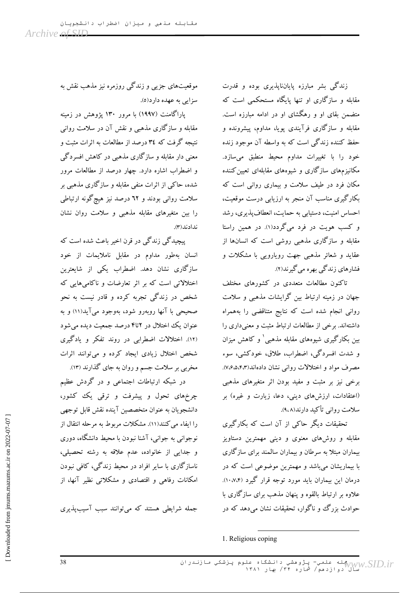زندگی بشر مبارزه پایاننایذیری بوده و قدرت مقابله و سازگاری او تنها پایگاه مستحکمی است که متضمن بقای او و رهگشای او در ادامه مبارزه است. مقابله و سازگاری فرآیندی یوپا، مداوم، پیشرونده و حفظ کننده زندگی است که به واسطه آن موجود زنده خود را با تغییرات مداوم محیط منطبق میسازد. مکانیزمهای سازگاری و شیوههای مقابلهای تعیین کننده مکان فرد در طیف سلامت و بیماری روانی است که بکارگیری مناسب آن منجر به ارزیابی درست موقعیت، احساس امنیت، دستیابی به حمایت، انعطاف پذیری، رشد و کسب هویت در فرد میگردد(۱). در همین راستا مقابله و سازگاری مذهبی روشی است که انسانها از عقاید و شعائر مذهبی جهت رویارویی با مشکلات و فشارهای زندگی بهره می گیرند(۲).

تاکنون مطالعات متعددی در کشورهای مختلف جهان در زمینه ارتباط بین گرایشات مذهبی و سلامت روانی انجام شده است که نتایج متناقضی را بههمراه داشتهاند. برخی از مطالعات ارتباط مثبت و معنی داری را بین بکارگیری شیوههای مقابله مذهبی ٰ و کاهش میزان و شدت افسردگی، اضطراب، طلاق، خودکشی، سوء مصرف مواد و اختلالات روانی نشان دادهاند(۷،۶،۵،۴،۳٪). برخی نیز بر مثبت و مفید بودن اثر متغیرهای مذهبی (اعتقادات، ارزشهای دینی، دعا، زیارت و غیره) بر سلامت رواني تأكيد دارند(٩،٨).

تحقیقات دیگر حاکمی از آن است که بکارگیری مقابله و روشهای معنوی و دینی مهمترین دستاویز بیماران مبتلا به سرطان و بیماران سالمند برای سازگاری با بیماریشان می باشد و مهمترین موضوعی است که در درمان این بیماران باید مورد توجه قرار گیرد (۱۰،۷،۴). علاوه بر ارتباط بالقوه و پنهان مذهب برای سازگاری با حوادث بزرگ و ناگوار، تحقیقات نشان میدهد که در

موقعیتهای جزیی و زندگی روزمره نیز مذهب نقش به سزایی به عهده دارد(٥).

یاراگامنت (۱۹۹۷) با مرور ۱۳۰ پژوهش در زمینه مقابله و سازگاری مذهبی و نقش آن در سلامت روانی نتیجه گرفت که ۳٤ درصد از مطالعات به اثرات مثبت و معنی دار مقابله و سازگاری مذهبی در کاهش افسردگی و اضطراب اشاره دارد. چهار درصد از مطالعات مرور شده، حاکبی از اثرات منفی مقابله و سازگاری مذهبی بر سلامت روانی بودند و ٦٢ درصد نیز هیچگونه ارتباطی را بین متغیرهای مقابله مذهبی و سلامت روان نشان ندادند(۳).

پیچیدگی زندگی در قرن اخیر باعث شده است که انسان بهطور مداوم در مقابل ناملایمات از خود سازگاری نشان دهد. اضطراب یکی از شایعترین اختلالاتی است که بر اثر تعارضات و ناکامی هایی که شخص در زندگی تجربه کرده و قادر نیست به نحو صحیحی با آنها روبهرو شود، بهوجود میآید(۱۱) و به عنوان یک اختلال در ۲تا۴ درصد جمعیت دیده می شود (١٢). اختلالات اضطرابي در روند تفكر و يادگيرى شخص اختلال زیادی ایجاد کرده و می توانند اثرات مخربی بر سلامت جسم و روان به جای گذارند (۱۳).

در شبکه ارتباطات اجتماعی و در گردش عظیم چرخهای تحول و پیشرفت و ترقی یک کشور، دانشجويان به عنوان متخصصين آينده نقش قابل توجهي را ایفاء می کنند(۱۱). مشکلات مربوط به مرحله انتقال از نوجوانی به جوانی، آشنا نبودن با محیط دانشگاه، دوری و جدایی از خانواده، عدم علاقه به رشته تحصیلی، ناسازگاری با سایر افراد در محیط زندگی، کافی نبودن امکانات رفاهی و اقتصادی و مشکلاتی نظیر آنها، از

جمله شرایطی هستند که میتوانند سبب آسیبپذیری

<sup>1.</sup> Religious coping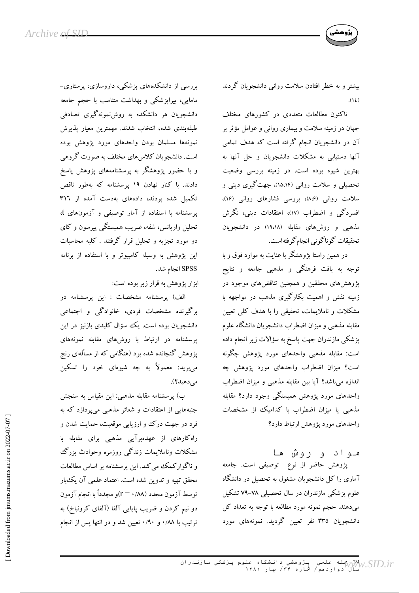

بیشتر و به خطر افتادن سلامت روانبی دانشجویان گردند  $.$ (12)

تاکنون مطالعات متعددی در کشورهای مختلف جهان در زمینه سلامت و بیماری روانی و عوامل مؤثر بر آن در دانشجویان انجام گرفته است که هدف تمامی آنها دستیابی به مشکلات دانشجویان و حل آنها به بهترین شیوه بوده است. در زمینه بررسی وضعیت تحصیلی و سلامت روانی (۱۵،۱۴)، جهت گیری دینی و سلامت روانی (۸،۶)، بررسی فشارهای روانی (۱۶)، افسردگی و اضطراب (۱۷)، اعتقادات دینی، نگرش مذهبی و روشهای مقابله (۱۹،۱۸) در دانشجویان تحقيقات گوناگوني انجامگرفتهاست.

در همین راستا پژوهشگر با عنایت به موارد فوق و با توجه به بافت فرهنگی و مذهبی جامعه و نتایج پژوهشهای محققین و همچنین تناقضهای موجود در زمینه نقش و اهمیت بکارگیری مذهب در مواجهه با مشکلات و ناملایمات، تحقیقی را با هدف کلی تعیین مقابله مذهبي و ميزان اضطراب دانشجويان دانشگاه علوم پزشکی مازندران جهت پاسخ به سؤالات زیر انجام داده است: مقابله مذهبی واحدهای مورد پژوهش چگونه است؟ میزان اضطراب واحدهای مورد پژوهش چه اندازه میباشد؟ آیا بین مقابله مذهبی و میزان اضطراب واحدهای مورد یژوهش همبستگی وجود دارد؟ مقابله مذهبی یا میزان اضطراب با کدامیک از مشخصات واحدهای مورد یژوهش ارتباط دارد؟

مـواد و روش هـا پژوهش حاضر از نوع توصیفی است. جامعه آماری را کل دانشجویان مشغول به تحصیل در دانشگاه علوم پزشکی مازندران در سال تحصیلی ۷۸–۷۹ تشکیل میدهند. حجم نمونه مورد مطالعه با توجه به تعداد کل دانشجویان ۳۳٥ نفر تعیین گردید. نمونههای مورد

بررسی از دانشکدههای پزشکی، داروسازی، پرستاری-مامایی، پیراپزشکی و بهداشت متناسب با حجم جامعه دانشجویان هر دانشکده به روشنمونهگیری تصادفی طبقەبندى شدە، انتخاب شدند. مهمترين معيار پذيرش نمونهها مسلمان بودن واحدهاى مورد يؤوهش بوده است. دانشجویان کلاس های مختلف به صورت گروهی و با حضور پژوهشگر به پرسشنامههای پژوهش پاسخ دادند. با کنار نهادن ۱۹ پرسشنامه که بهطور ناقص تکمیل شده بودند، دادههای بهدست آمده از ۳۱٦ یرسشنامه با استفاده از آمار توصیفی و آزمونهای t، تحلیل واریانس، شفه، ضریب همبستگی پیرسون و کای دو مورد تجزیه و تحلیل قرار گرفتند . کلیه محاسبات این پژوهش به وسیله کامپیوتر و با استفاده از برنامه SPSS انجام شد.

ابزار پژوهش به قرار زیر بوده است:

الف) پرسشنامه مشخصات : این پرسشنامه در برگیرنده مشخصات فردی، خانوادگی و اجتماعی دانشجویان بوده است. یک سؤال کلیدی بازنیز در این پرسشنامه در ارتباط با روشهای مقابله نمونههای یژوهش گنجانده شده بود (هنگامی که از مسألهای رنج می برید: معمولاً به چه شیوهای خود را تسکین مے دھیلہ؟).

ب) پرسشنامه مقابله مذهبی: این مقیاس به سنجش جنبههایی از اعتقادات و شعائر مذهبی می پردازد که به فرد در جهت درک و ارزیابی موقعیت، حمایت شدن و راه کارهای از عهدهبرآیی مذهبی برای مقابله با مشکلات وناملایمات زندگی روزمره وحوادث بزرگ و ناگوارکمک می کند. این پرسشنامه بر اساس مطالعات محقق تهیه و تدوین شده است. اعتماد علمی آن یک بار توسط آزمون مجدد (۸۸/ ۰ = r)و مجدداً با انجام آزمون دو نیم کردن و ضریب پایایی آلفا (آلفای کرونباخ) به ترتیب با ۰/۸۸ و ۰/۹۰ تعیین شد و در انتها پس از انجام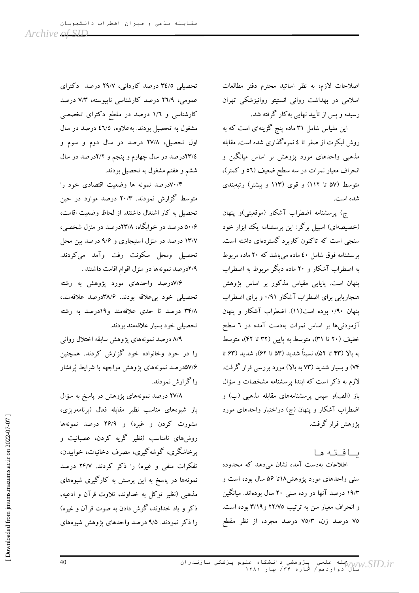اصلاحات لازم، به نظر اساتيد محترم دفتر مطالعات اسلامی در بهداشت روانی انستیتو روانپزشکی تهران رسیده و پس از تأیید نهایی به کار گرفته شد.

این مقیاس شامل ۳۱ ماده پنج گزینهای است که به روش لیکرت از صفر تا ٤ نمره گذاری شده است. مقابله مذهبی واحدهای مورد پژوهش بر اساس میانگین و انحراف معیار نمرات در سه سطح ضعیف (٥٦ و کمتر)، متوسط (۵۷ تا ۱۱۲) و قوی (۱۱۳ و بیشتر) رتبهبندی شده است.

ج) پرسشنامه اضطراب آشکار (موقعیتی)و پنهان (خصیصهای) اسپیل برگر: این پرسشنامه یک ابزار خود سنجی است که تاکنون کاربرد گستردهای داشته است. پرسشنامه فوق شامل ٤٠ ماده مي باشد كه ٢٠ ماده مربوط به اضطراب آشکار و ۲۰ ماده دیگر مربوط به اضطراب پنهان است. پایایی مقیاس مذکور بر اساس پژوهش هنجاریابی برای اضطراب آشکار ۰/۹۱ و برای اضطراب پنهان ۰/۹۰ بوده است(۱۱). اضطراب آشکار و پنهان آزمودنیها بر اساس نمرات بهدست آمده در ٦ سطح خفيف (٢٠ تا ٣١)، متوسط به پايين (٣٢ تا ۴٢)، متوسط ىه يالا (۴۳ تا ۵۲)، نسبتاً شديد (۵۳ تا ۶۲)، شديد (۶۳ تا ۷۴) و بسیار شدید (۷۳ به بالا) مورد بررسی قرار گرفت. لازم به ذکر است که ابتدا پرسشنامه مشخصات و سؤال باز (الف)و سپس پرسشنامههای مقابله مذهبی (ب) و اضطراب آشکار و پنهان (ج) دراختیار واحدهای مورد يژوهش قرار گرفت.

ىافته ها

اطلاعات بهدست آمده نشان میٖدهد که محدوده سنی واحدهای مورد پژوهش۱۸تا ۵۶ سال بوده است و ۱۹/۳ درصد آنها در رده سنی ۲۰ سال بودهاند. میانگین و انحراف معیار سن به ترتیب ٢٢/٧٥ و ٣/١٩ بوده است. ۷۵ درصد زن، ۷۵/۳ درصد مجرد، از نظر مقطع

تحصیلی ۳٤/٥ درصد کاردانی، ۲۹/۷ درصد دکترای عمومی، ۲٦/۹ درصد کارشناسی ناپیوسته، ۷/۳ درصد کارشناسی و ۱/۲ درصد در مقطع دکترای تخصصی مشغول به تحصیل بودند. بهعلاوه، ٤٦/٥ درصد در سال اول تحصيل، ٢٧/٨ درصد در سال دوم و سوم و ٢٣/٤درصد در سال چهارم و پنجم و ٢/٢درصد در سال ششم و هفتم مشغول به تحصیل بودند.

۰٫۳ادرصد نمونه ها وضعیت اقتصادی خود را متوسط گزارش نمودند. ۲۰/۳ درصد موارد در حین تحصيل به كار اشتغال داشتند. از لحاظ وضعيت اقامت، ۵۰/۶ درصد در خوابگاه، ۲۳/۸درصد در منزل شخصی، ۱۳/۷ درصد در منزل استیجاری و ۹/۶ درصد بین محل تحصیل ومحل سکونت رفت وآمد میکردند. ۲/۹درصد نمونهها در منزل اقوام اقامت داشتند .

۷/۶درصد واحدهای مورد پژوهش به رشته تحصیلی خود بیعلاقه بودند. ۳۸/۶درصد علاقهمند، ۳۴/۸ درصد تا حدی علاقهمند و ۱۹درصد به رشته تحصيلي خود بسيار علاقهمند بودند.

٨/٩ درصد نمونههاى پژوهش سابقه اختلال رواني را در خود وخانواده خود گزارش کردند. همچنین ۵۷/۶درصد نمونههای پژوهش مواجهه با شرایط پُرفشار را گزارش نمودند.

۲۷/۸ درصد نمونههای پژوهش در پاسخ به سؤال باز شیوههای مناسب نظیر مقابله فعال (برنامهریزی، مشورت کردن و غیره) و ۲۶/۹ درصد نمونهها روشهای نامناسب (نظیر گریه کردن، عصبانیت و یرخاشگری، گوشهگیری، مصرف دخانیات، خوابیدن، تفکرات منفی و غیره) را ذکر کردند. ۲۴/۷ درصد نمونهها در پاسخ به این پرسش به کارگیری شیوههای مذهبی (نظیر توکل به خداوند، تلاوت قرآن و ادعیه، ذکر و یاد خداوند، گوش دادن به صوت قرآن و غیره) را ذکر نمودند. ۹/۵ درصد واحدهای پژوهش شیوههای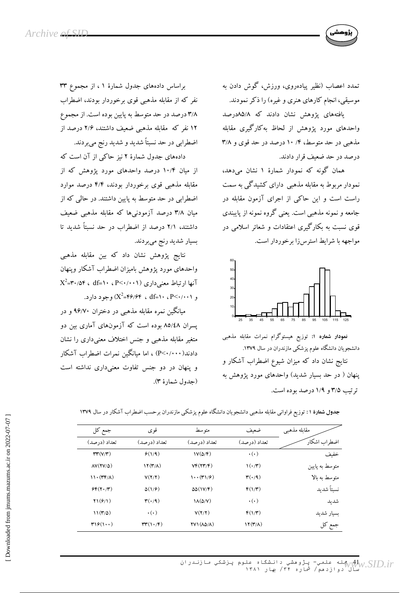

تمدد اعصاب (نظیر پیادهروی، ورزش، گوش دادن به موسیقی، انجام کارهای هنری و غیره) را ذکر نمودند.

یافتههای پژوهش نشان دادند که ۸۵/۸درصد واحدهای مورد پژوهش از لحاظ بهکارگیری مقابله مذهبی در حد متوسط، ۱۴/ ۱۰ درصد در حد قوی و ۳/۸ درصد در حد ضعیف قرار دادند.

همان گونه که نمودار شمارهٔ ۱ نشان میدهد، نمودار مربوط به مقابله مذهبی دارای کشیدگی به سمت راست است و این حاکی از اجرای آزمون مقابله در جامعه و نمونه مذهبی است. یعنی گروه نمونه از پایبندی قوی نسبت به بکارگیری اعتقادات و شعائر اسلامی در مواجهه با شرايط استرس زا برخوردار است.



<mark>نمودار شماره ۱:</mark> توزیع هیستوگرام نمرات مقابله مذهبی دانشجویان دانشگاه علوم پزشکی مازندران در سال ۱۳۷۹. نتایج نشان داد که میزان شیوع اضطراب آشکار و پنهان ( در حد بسیار شدید) واحدهای مورد پژوهش به ترتيب ٣/٥ و ١/٩ درصد بوده است.

براساس دادههای جدول شمارهٔ ۱، از مجموع ۳۳ نفر که از مقابله مذهبی قوی برخوردار بودند، اضطراب ۳/۸ درصد در حد متوسط به پایین بوده است. از مجموع ۱۲ نفر که ًمقابله مذهبی ضعیف داشتند، ۲/۶ درصد از اضطرابي در حد نسبتاً شديد و شديد رنج مي بردند.

دادههای جدول شمارهٔ ۲ نیز حاکی از آن است که از میان ۱۰/۴ درصد واحدهای مورد پژوهش که از مقابله مذهبی قوی برخوردار بودند، ۴/۴ درصد موارد اضطرابی در حد متوسط به پایین داشتند. در حالبی که از میان ۳/۸ درصد آزمودنیها که مقابله مذهبی ضعیف داشتند، ۲/۱ درصد از اضطراب در حد نسبتاً شدید تا بسیار شدید رنج میبردند.

نتايج پژوهش نشان داد كه بين مقابله مذهبي واحدهاى مورد يژوهش باميزان اضطراب آشكار وينهان  $X^2$ =۳۰/۵۴ ، df=۱۰ ، P<۰/۰۰۱) معنی داری (P<۰/۰۰۱ و ۲۰۰۱٬۰۰۱ ، ۴۶/۶۴ ، ۴۶/۶۴ (X<sup>2</sup>=۴۶/۶۴

میانگین نمره مقابله مذهبی در دختران ۹۶/۷۰ و در یسران ۸۵/٤۸ بوده است که آزمونهای آماری بین دو متغیر مقابله مذهبی و جنس اختلاف معنیداری را نشان دادند( P<۰/۰۰۰) ، اما مبانگین نمرات اضطراب آشکار و پنهان در دو جنس تفاوت معنیداری نداشته است (جدول شمارهٔ ۳).

| جمع کل                                        | قو ي                           | متو سط                                    | ضعيف                             | مقابله مذهبي   |
|-----------------------------------------------|--------------------------------|-------------------------------------------|----------------------------------|----------------|
| تعداد (در صد)                                 | تعداد (درصد)                   | تعداد (درصد)                              | تعداد (در صد)                    | اضطراب اشكار   |
| $\mathbf{r}\mathbf{r}(\mathbf{V}/\mathbf{r})$ | $\mathcal{F}(1/\mathcal{A})$   | $V(\Delta/\mathfrak{F})$                  | $\cdot(\cdot)$                   | خفيف           |
| $\Delta V(YV/\Delta)$                         | $\Upsilon(\mathbf{r}/\Lambda)$ | VF(YY/F)                                  | $\mathcal{U}(\cdot/\mathcal{V})$ | متوسط به پایین |
| $11 \cdot (TF/\Lambda)$                       | V(Y/Y)                         | $\cdots$ (۳۱/۶)                           | $\mathbf{r}(\cdot/9)$            | متوسط به بالا  |
| $SF(Y, \mathcal{X})$                          | $\Delta(1/\hat{r})$            | $\Delta\Delta(V/\mathcal{F})$             | $F(1/\mathbf{r})$                | نسبتاً شديد    |
| Y1(f/1)                                       | $\mathbf{r}(\cdot/\mathbf{q})$ | $\Lambda(\Delta/V)$                       | $\cdot(\cdot)$                   | شد ىد          |
| $11(\mathcal{r}/\Delta)$                      | $\cdot(\cdot)$                 | V(Y/Y)                                    | $F(1/\mathbf{r})$                | بسيار شديد     |
| $\mathbf{r}$ 19 $(1\cdots)$                   | rr(1.7F)                       | $\Upsilon V$ $(\Lambda \Delta / \Lambda)$ | $\Upsilon(\mathbf{r}/\Lambda)$   | جمع کل         |

جدول شمارهٔ ۱: توزیع فراوانی مقابله مذهبی دانشجویان دانشگاه علوم پزشکی مازندران برحسب اضطراب آشکار در سال ۱۳۷۹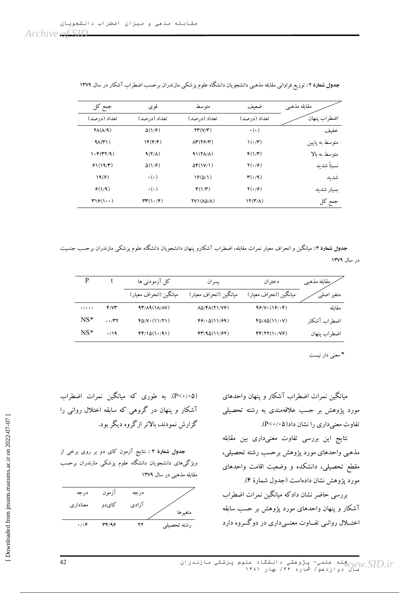| جمع کل                            | قو ي                                     | متو سط                                          | ضعف                              | مقابله مذهبي   |
|-----------------------------------|------------------------------------------|-------------------------------------------------|----------------------------------|----------------|
| تعداد (در صد)                     | تعداد (درصد)                             | تعداد (درصد)                                    | تعداد (در صد)                    | اضطراب ينهان   |
| $\mathsf{YA}(\Lambda/\mathsf{A})$ | $\Delta(1/\hat{r})$                      | $\Upsilon(\Upsilon/\Upsilon)$                   | $\cdot$ ( $\cdot$ )              | خفيف           |
| $9\Lambda(\mathbf{r})$            | $\mathcal{N}(\mathfrak{F}/\mathfrak{F})$ | $\Lambda^{\mu}(\Upsilon\mathcal{F}/\Upsilon)$   | $\mathcal{U}(\cdot/\mathcal{V})$ | متوسط به پایین |
| 1.5(TY/9)                         | $9(Y/\Lambda)$                           | $A\left(\frac{1}{\Lambda}\right)$               | $F(1/\mathbf{r})$                | متوسط به بالا  |
| 91(19/T)                          | $\Delta(1/\hat{r})$                      | $\Delta f(1V/1)$                                | $\mathbf{Y}(\cdot/\mathbf{P})$   | نستاً شدىد     |
| 19(9)                             | $\cdot(\cdot)$                           | 19(6/1)                                         | $\mathbf{r}(\cdot/9)$            | شدىد           |
| $\mathcal{F}(1/9)$                | $\cdot(\cdot)$                           | $F(1/\mathbf{r})$                               | $\mathbf{Y}(\cdot/\mathbf{P})$   | بسيار شديد     |
| $\mathbf{r}$ 19 $($               | rr(1.7)                                  | $\Upsilon V \Lambda (\Lambda \Delta / \Lambda)$ | $\Upsilon(\mathbf{r}/\Lambda)$   | جمع کل         |

ج**دول شمارهٔ ۲:** توزیع فراوانی مقابله مذهبی دانشجویان دانشگاه علوم پزشکی مازندران برحسب اضطراب آشکار در سال ۱۳۷۹

جدول شمارهٔ ۳: میانکین و انحراف معیار نمرات مقابله، اضطراب اشکارو پنهان دانشجویان دانشکاه علوم پزشکی مازندران برحسب جنسیت در سال ۱۳۷۹

|                           |               | کل آزمودنبی ها                                                | يسر ان                                                                  | دختران                 | رمقابله مذهبي |
|---------------------------|---------------|---------------------------------------------------------------|-------------------------------------------------------------------------|------------------------|---------------|
|                           |               | ميانگين (انحراف معيار)                                        | ميانگين (انحراف معيار)                                                  | میانگین (انحراف معیار) | متغير ا       |
| $\cdot$ / $\cdot$ $\cdot$ | $f/Y^*$       | $4\mathbf{r}/\mathbf{A}$ $(1\mathbf{A}/\mathbf{A}\mathbf{V})$ | $\Lambda\Delta/\mathfrak{F}\Lambda(\mathbf{Y})/\mathbf{V}\mathfrak{F})$ | $99/V \cdot (19/V)$    | مقاىلە        |
| $NS^*$                    | $- \cdot$ /۳۲ | $FO/V \cdot (11/Y)$                                           | F9/0(11/99)                                                             | FO/AO(11/IV)           | اضطراب آشكار  |
| $NS^*$                    | $\cdot$ /19   | FF/10(1.41)                                                   | f''/90(11/97)                                                           | FF/YY(1.79)            | اضطراب ينهان  |

\* معنی دار نیست

میانگین نمرات اضطراب آشکار و پنهان واحدهای مورد پژوهش بر حسب علاقهمندی به رشته تحصیلی  $P<\!\!\cdot\!\!\cdot\!\!\cdot\!\!\circ\!\!$  تفاوت معنی داری را نشان داد $P<\!\!\cdot\!\!\circ\!\!\circ\!\!P$ 

نتایج این بررسی تفاوت معنیداری بین مقابله مذهبی واحدهای مورد پژوهش برحسب رشته تحصیلی، مقطع تحصیلی، دانشکده و وضعیت اقامت واحدهای مورد پژوهش نشان دادهاست (جدول شمارهٔ ۴). بررسی حاضر نشان دادکه میانگین نمرات اضطراب آشکار و پنهان واحدهای مورد پژوهش بر حسب سابقه اختـــلال روانــي تفـــاوت معنـــي داري در دوگـــروه دارد

(P<۰/۰۵). به طوری که میانگین نمرات اضطراب آشکار و پنهان در گروهی که سابقه اختلال روانی را گزارش نمودند، پالاتر از گروه دیگر بود.

جدول شمارهٔ ۴ : نتایج آزمون کای دو بر روی برخی از ویژگیهای دانشجویان دانشگاه علوم پزشکی مازندران برحسب مقابله مذهبی در سال ۱۳۷۹

| درجه            | ازمون | درجه  |             |
|-----------------|-------|-------|-------------|
| معناداري        | كايدو | آزادى |             |
|                 |       |       | متغير ها    |
| $\cdot/\cdot$ ۴ | 34/96 | ۲۲    | رشته تحصيلي |

42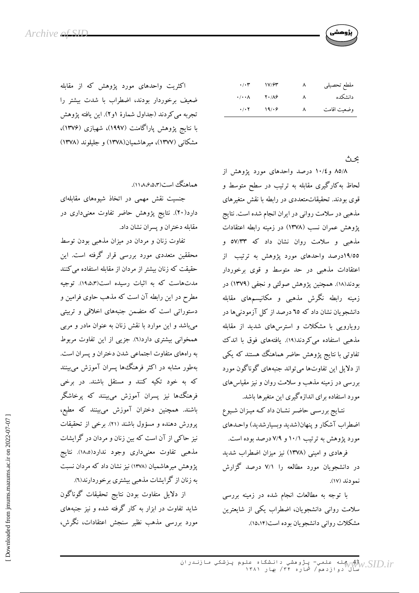

| مقطع تحصيلي | $\lambda$ | 17/63                 | $\cdot/\cdot$ ۳             |
|-------------|-----------|-----------------------|-----------------------------|
| دانشكده     | ٨         | $Y \cdot / \Lambda f$ | $\cdot/\cdot\cdot$ $\wedge$ |
| وضعيت اقامت | $\lambda$ | 19/69                 | $\cdot$ / $\cdot$ $\cdot$   |

ىحث

۸۵/۸ و ۱۰/٤ درصد واحدهای مورد یژوهش از لحاظ به کارگیری مقابله به ترتیب در سطح متوسط و قوی بودند. تحقیقاتمتعددی در رابطه با نقش متغیرهای مذهبی در سلامت روانی در ایران انجام شده است. نتایج پژوهش عمران نسب (۱۳۷۸) در زمینه رابطه اعتقادات مذهبی و سلامت روان نشان داد که ۵۷/۳۳ و ۱۹/۵۵درصد واحدهای مورد پژوهش به ترتیب از اعتقادات مذهبی در حد متوسط و قوی برخوردار بودند(۱۸). همچنین پژوهش صولتی و نجفی (۱۳۷۹) در زمینه رابطه نگرش مذهبی و مکانیسمهای مقابله دانشجو یان نشان داد که ٦٥ درصد از کل آزمودنی ها در رویارویی با مشکلات و استرسهای شدید از مقابله مذهبی استفاده می کردند(١٩). یافتههای فوق با اندک تفاوتی با نتایج پژوهش حاضر هماهنگ هستند که یکی از دلایل این تفاوتها می تواند جنبههای گوناگون مورد بررسی در زمینه مذهب و سلامت روان و نیز مقیاس های مورد استفاده برای اندازهگیری این متغیرها باشد.

نتـايج بررسـي حاضـر نشـان داد كـه ميـزان شـيوع اضطراب آشکار و پنهان(شدید وبسیارشدید) واحـدهای مورد پژوهش به ترتیب ۱۰/۱ و ۷/۹ درصد بوده است.

فرهادی و امینی (۱۳۷۸) نیز میزان اضطراب شدید در دانشجویان مورد مطالعه را ۷/۱ درصد گزارش نمو دند (١٧).

با توجه به مطالعات انجام شده در زمینه بررسی سلامت روانی دانشجویان، اضطراب یکی از شایعترین مشکلات روانی دانشجو یان بو ده است(۱۵،۱۴).

اکثریت واحدهای مورد پژوهش که از مقابله ضعیف برخوردار بودند، اضطراب با شدت بیشتر را تجربه مي كردند (جداول شمارهٔ ۱و۲). اين يافته پژوهش با نتایج پژوهش پاراگامنت (۱۹۹۷)، شهبازی (۱۳۷۶)، مشکانی (۱۳۷۷)، میرهاشمیان(۱۳۷۸) و جلیلوند (۱۳۷۸)

هماهنگ است(۱۱،۸،۶،۵،۳).

جنسیت نقش مهمی در اتخاذ شیوههای مقابلهای دارد(۲۰). نتایج پژوهش حاضر تفاوت معنیداری در مقابله دختران ويسران نشان داد.

تفاوت زنان و مردان در میزان مذهبی بودن توسط محققین متعددی مورد بررسی قرار گرفته است. این حقیقت که زنان بیشتر از مردان از مقابله استفاده می کنند مدتهاست که به اثبات رسیده است(۱۹،۵،۳). توجیه مطرح در این رابطه آن است که مذهب حاوی فرامین و دستوراتی است که متضمن جنبههای اخلاقی و تربیتی میباشد و این موارد با نقش زنان به عنوان مادر و مربی همخوانی بیشتری دارد(٦). جزیی از این تفاوت مربوط به راههای متفاوت اجتماعی شدن دختران و پسران است. بهطور مشابه در اکثر فرهنگءا پسران آموزش می بینند که به خود تکیه کنند و مستقل باشند. در برخی فرهنگءها نیز پسران آموزش می,بینند که پرخاشگر باشند. همچنین دختران آموزش میبینند که مطیع، پرورش دهنده و مسؤول باشند (٢١). برخی از تحقیقات نیز حاکمی از آن است که بین زنان و مردان در گرایشات مذهبي تفاوت معنىدارى وجود ندارد(١٨،٥). نتايج یژوهش میرهاشمیان (۱۳۷۸) نیز نشان داد که مردان نسبت به زنان از گرایشات مذهبی بیشتری برخوردارند(٦).

از دلایل متفاوت بودن نتایج تحقیقات گوناگون شاید تفاوت در ابزار به کار گرفته شده و نیز جنبههای مورد بررسی مذهب نظیر سنجش اعتقادات، نگرش،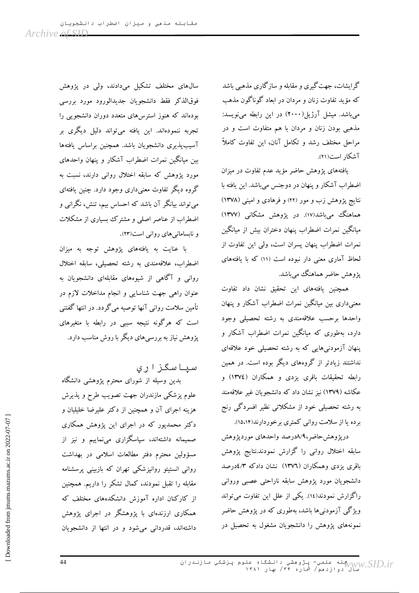گرایشات، جهت گیری و مقابله و سازگاری مذهبی باشد که مؤید تفاوت زنان و مردان در ابعاد گوناگون مذهب میباشد. میشل آرژیل(۲۰۰۰) در این رابطه مینویسد: مذهبی بودن زنان و مردان با هم متفاوت است و در مراحل مختلف رشد و تکامل آنان، این تفاوت کاملاً آشکار است(۲۱).

یافتههای پژوهش حاضر مؤید عدم تفاوت در میزان اضطراب آشکار و پنهان در دوجنس میباشد. این یافته با نتایج پژوهش زب و مور (۲۲) و فرهادی و امینی (۱۳۷۸) هماهنگ میباشد(۱۷). در پژوهش مشکانی (۱۳۷۷) میانگین نمرات اضطراب پنهان دختران بیش از میانگین نمرات اضطراب پنهان پسران است، ولی این تفاوت از لحاظ آماری معنی دار نبوده است (۱۱) که با یافتههای پژوهش حاضر هماهنگ میباشد.

همچنین یافتههای این تحقیق نشان داد تفاوت معنیداری بین میانگین نمرات اضطراب آشکار و پنهان واحدها برحسب علاقهمندى به رشته تحصيلي وجود دارد، بهطوری که میانگین نمرات اضطراب آشکار و پنهان آزمودنیهایی که به رشته تحصیلی خود علاقهای نداشتند زیادتر از گروههای دیگر بوده است. در همین رابطه تحقیقات باقری یزدی و همکاران (١٣٧٤) و عکاشه (۱۳۷۹) نیز نشان داد که دانشجویان غیر علاقهمند به رشته تحصیلی خود از مشکلاتی نظیر افسردگی رنج برده یا از سلامت روانی کمتری برخوردارند(۱۵،۱۴).

درپژوهشحاضر،۸/۹درصد واحدهای موردپژوهش سابقه اختلال روانی را گزارش نمودند.نتایج پژوهش باقری یزدی وهمکاران (١٣٧٦) نشان دادکه ۶/لادرصد دانشجويان مورد پژوهش سابقه ناراحتی عصبی وروانی راگزارش نمودند(١٤). یکی از علل این تفاوت میتواند ویژگی آزمودنبیها باشد، بهطوری که در پژوهش حاضر نمونههای یژوهش را دانشجویان مشغول به تحصیل در

سالهای مختلف تشکیل میدادند، ولی در پژوهش فوقالذكر فقط دانشجويان جديدالورود مورد بررسي بودهاند که هنوز استرس های متعدد دوران دانشجویی را تجربه ننمودهاند. این یافته میتواند دلیل دیگری بر آسيب پذيرى دانشجويان باشد. همچنين براساس يافتهها بین میانگین نمرات اضطراب آشکار و پنهان واحدهای مورد یژوهش که سابقه اختلال روانی دارند، نسبت به گروه دیگر تفاوت معنی داری وجود دارد. چنین یافتهای مي تواند بيانگر آن باشد كه احساس بيم، تنش، نگراني و اضطراب از عناصر اصلی و مشترک بسیاری از مشکلات و نابسامانیهای روانی است(۲۳).

با عنایت به یافتههای پژوهش توجه به میزان اضطراب، علاقهمندي به رشته تحصيلي، سابقه اختلال روانی و آگاهی از شیوههای مقابلهای دانشجویان به عنوان راهی جهت شناسایی و انجام مداخلات لازم در تأمین سلامت روانی آنها توصیه میگردد. در انتها گفتنی است که هرگونه نتیجه سببی در رابطه با متغیرهای یژوهش نیاز به بررسی های دیگر با روش مناسب دارد.

سیاسگز اری

بدین وسیله از شورای محترم پژوهشی دانشگاه علوم پزشکی مازندران جهت تصویب طرح و پذیرش هزینه اجرای آن و همچنین از دکتر علیرضا خلیلیان و دکتر محمدپور که در اجرای این پژوهش همکاری صمیمانه داشتهاند، سپاسگزاری میٖنماییم و نیز از مسؤولين محترم دفتر مطالعات اسلامي در بهداشت روانی انستیتو روانپزشکی تهران که بازبینی پرسشنامه مقابله را تقبل نمودند، کمال تشکر را داریم. همچنین از کارکنان اداره آموزش دانشکدههای مختلف که همکاری ارزندهای با پژوهشگر در اجرای پژوهش داشتهاند، قدردانی می شود و در انتها از دانشجویان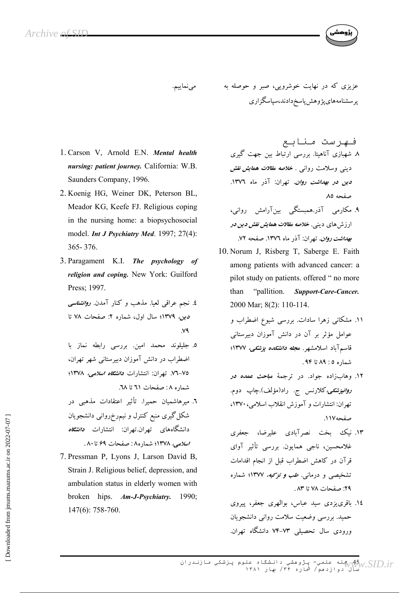عزیزی که در نهایت خوشرویی، صبر و حوصله به مىنماييم. پرسشنامەهاي پژوهش پاسخ دادند،سپاسگزاري

- 1. Carson V, Arnold E.N. Mental health nursing: patient journey. California: W.B. Saunders Company, 1996.
- 2. Koenig HG, Weiner DK, Peterson BL, Meador KG, Keefe FJ. Religious coping in the nursing home: a biopsychosocial model. Int J Psychiatry Med. 1997; 27(4): 365-376.
- 3. Paragament K.I. The psychology of religion and coping. New York: Guilford Press; 1997.
	- ٤. نجم عراقی لعیا. مذهب و کنار آمدن. *روانشناسی* دین، ۱۳۷۹؛ سال اول، شماره ۲: صفحات ۷۸ تا  $V<sup>4</sup>$
	- ٥. جليلوند محمد امين. بررسي رابطه نماز با اضطراب در دانش آموزان دبیرستانی شهر تهران، ۷۵–۷۲. تهران: انتشارات *دانشگاه اسلامی، ۱*۳۷۸؛ شماره ۸: صفحات ٦١ تا ٦٨.
	- ٦. میرهاشمیان حمیرا. تأثیر اعتقادات مذهبی در شکل گیری منبع کنترل و نیم٫رخ٫روانی دانشجویان دانشگاههای تهران.تهران: انتشارات *دانشگاه* اسلامے، ١٣٧٨؛ شماره ٨: صفحات ۶۹ تا ٨٠.
- 7. Pressman P, Lyons J, Larson David B, Strain J. Religious belief, depression, and ambulation status in elderly women with broken hips.  $Am-J-Psychiatry$ . 1990;  $147(6)$ : 758-760.
- فيهرست منابع ۸ شهبازی آناهیتا. بررسی ارتباط بین جهت گیری دینی وسلامت روانی . *خلاصه مقلات همایش نقش دین در بهداشت روان.* تهران: آذر ماه ۱۳۷٦. صفحه ٨٥
- ۹. مکارمی آذر.همبستگی بینآرامش روانی، ارزش های دینی. *خلاصه مقلات همایش نقش دین در* بهداشت روان. تهران: آذر ماه ١٣٧٦. صفحه ٧٢.
- 10. Norum J, Risberg T, Saberge E. Faith among patients with advanced cancer: a pilot study on patients. offered " no more "pallition. **Support-Care-Cancer.** than 2000 Mar; 8(2): 110-114.
	- ۱۱. مشکانی زهرا سادات. بررسی شیوع اضطراب و عوامل مؤثر بر آن در دانش آموزان دبیرستانی قاسمآباد اسلامشهر. م*جله دانشکده پزشکی، ۱*۳۷۷؛ شماره ٥: ٨٩ تا ٩۴.
	- ۱۲. وهابزاده جواد. در ترجمهٔ *مباحث عمده در روانپزشکی،کلارنس ج. راد(مؤلف).چاپ دو*م. تهران: انتشارات و آموزش انقلاب اسلامی، ١٣٧٠، صفحه ١١٧.
	- ۱۳. نیک بخت نصرآبادی علیرضا، جعفری غلامحسین، ناجی همایون. بررسی تأثیر آوای قرآن در كاهش اضطراب قبل از انجام اقدامات تشخیصی و درمانی. *طب و تزکیه، ۱*۳۷۷؛ شماره ٢٩: صفحات ٧٨ تا ٨٣.
	- ١٤. باقرى يزدى سيد عباس، بوالهرى جعفر، پيروى حمید. بررسی وضعیت سلامت روانی دانشجویان ورودی سال تحصیلی ۷۳-۷۴ دانشگاه تهران.